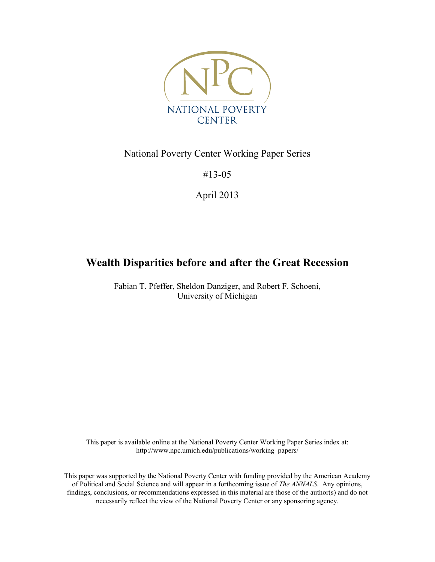

# National Poverty Center Working Paper Series

#13-05

April 2013

# **Wealth Disparities before and after the Great Recession**

Fabian T. Pfeffer, Sheldon Danziger, and Robert F. Schoeni, University of Michigan

This paper is available online at the National Poverty Center Working Paper Series index at: http://www.npc.umich.edu/publications/working\_papers/

This paper was supported by the National Poverty Center with funding provided by the American Academy of Political and Social Science and will appear in a forthcoming issue of *The ANNALS*. Any opinions, findings, conclusions, or recommendations expressed in this material are those of the author(s) and do not necessarily reflect the view of the National Poverty Center or any sponsoring agency.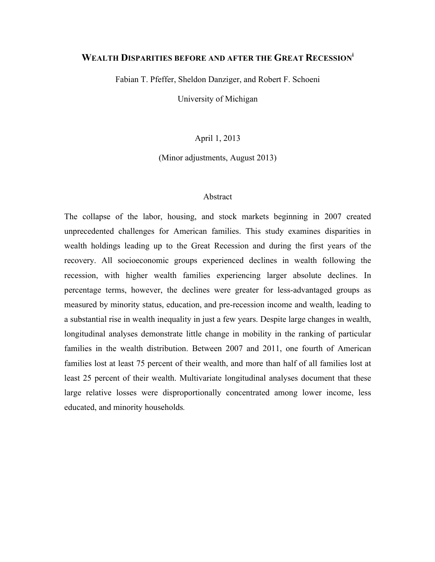## **WEALTH DISPARITIES BEFORE AND AFTER THE GREAT RECESSIONi**

Fabian T. Pfeffer, Sheldon Danziger, and Robert F. Schoeni

University of Michigan

April 1, 2013

(Minor adjustments, August 2013)

#### Abstract

The collapse of the labor, housing, and stock markets beginning in 2007 created unprecedented challenges for American families. This study examines disparities in wealth holdings leading up to the Great Recession and during the first years of the recovery. All socioeconomic groups experienced declines in wealth following the recession, with higher wealth families experiencing larger absolute declines. In percentage terms, however, the declines were greater for less-advantaged groups as measured by minority status, education, and pre-recession income and wealth, leading to a substantial rise in wealth inequality in just a few years. Despite large changes in wealth, longitudinal analyses demonstrate little change in mobility in the ranking of particular families in the wealth distribution. Between 2007 and 2011, one fourth of American families lost at least 75 percent of their wealth, and more than half of all families lost at least 25 percent of their wealth. Multivariate longitudinal analyses document that these large relative losses were disproportionally concentrated among lower income, less educated, and minority households*.*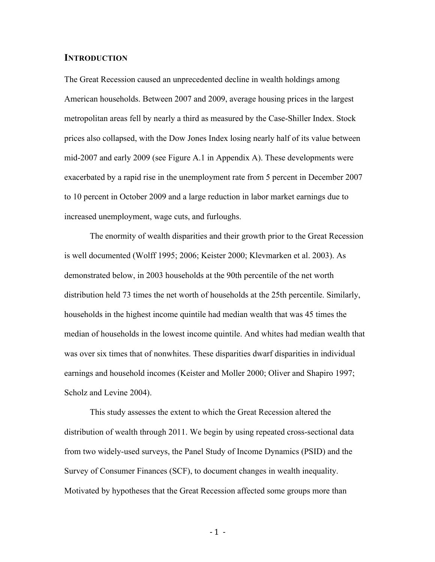#### **INTRODUCTION**

The Great Recession caused an unprecedented decline in wealth holdings among American households. Between 2007 and 2009, average housing prices in the largest metropolitan areas fell by nearly a third as measured by the Case-Shiller Index. Stock prices also collapsed, with the Dow Jones Index losing nearly half of its value between mid-2007 and early 2009 (see Figure A.1 in Appendix A). These developments were exacerbated by a rapid rise in the unemployment rate from 5 percent in December 2007 to 10 percent in October 2009 and a large reduction in labor market earnings due to increased unemployment, wage cuts, and furloughs.

The enormity of wealth disparities and their growth prior to the Great Recession is well documented (Wolff 1995; 2006; Keister 2000; Klevmarken et al. 2003). As demonstrated below, in 2003 households at the 90th percentile of the net worth distribution held 73 times the net worth of households at the 25th percentile. Similarly, households in the highest income quintile had median wealth that was 45 times the median of households in the lowest income quintile. And whites had median wealth that was over six times that of nonwhites. These disparities dwarf disparities in individual earnings and household incomes (Keister and Moller 2000; Oliver and Shapiro 1997; Scholz and Levine 2004).

This study assesses the extent to which the Great Recession altered the distribution of wealth through 2011. We begin by using repeated cross-sectional data from two widely-used surveys, the Panel Study of Income Dynamics (PSID) and the Survey of Consumer Finances (SCF), to document changes in wealth inequality. Motivated by hypotheses that the Great Recession affected some groups more than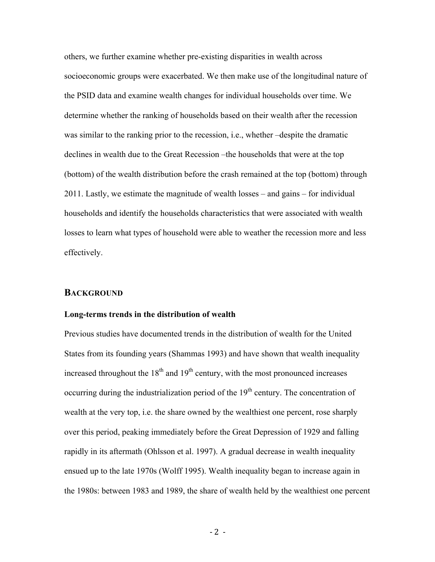others, we further examine whether pre-existing disparities in wealth across socioeconomic groups were exacerbated. We then make use of the longitudinal nature of the PSID data and examine wealth changes for individual households over time. We determine whether the ranking of households based on their wealth after the recession was similar to the ranking prior to the recession, i.e., whether –despite the dramatic declines in wealth due to the Great Recession –the households that were at the top (bottom) of the wealth distribution before the crash remained at the top (bottom) through 2011. Lastly, we estimate the magnitude of wealth losses – and gains – for individual households and identify the households characteristics that were associated with wealth losses to learn what types of household were able to weather the recession more and less effectively.

#### **BACKGROUND**

#### **Long-terms trends in the distribution of wealth**

Previous studies have documented trends in the distribution of wealth for the United States from its founding years (Shammas 1993) and have shown that wealth inequality increased throughout the  $18<sup>th</sup>$  and  $19<sup>th</sup>$  century, with the most pronounced increases occurring during the industrialization period of the  $19<sup>th</sup>$  century. The concentration of wealth at the very top, i.e. the share owned by the wealthiest one percent, rose sharply over this period, peaking immediately before the Great Depression of 1929 and falling rapidly in its aftermath (Ohlsson et al. 1997). A gradual decrease in wealth inequality ensued up to the late 1970s (Wolff 1995). Wealth inequality began to increase again in the 1980s: between 1983 and 1989, the share of wealth held by the wealthiest one percent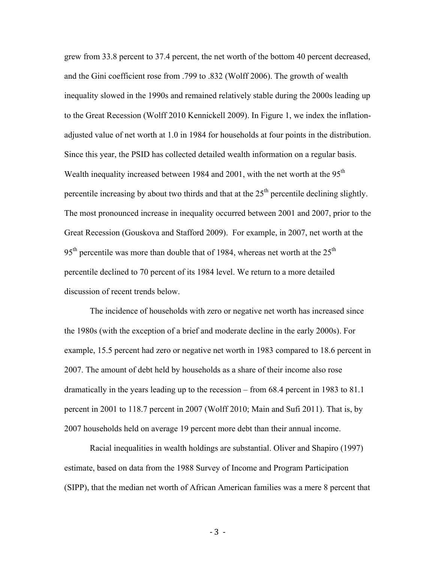grew from 33.8 percent to 37.4 percent, the net worth of the bottom 40 percent decreased, and the Gini coefficient rose from .799 to .832 (Wolff 2006). The growth of wealth inequality slowed in the 1990s and remained relatively stable during the 2000s leading up to the Great Recession (Wolff 2010 Kennickell 2009). In Figure 1, we index the inflationadjusted value of net worth at 1.0 in 1984 for households at four points in the distribution. Since this year, the PSID has collected detailed wealth information on a regular basis. Wealth inequality increased between 1984 and 2001, with the net worth at the 95<sup>th</sup> percentile increasing by about two thirds and that at the  $25<sup>th</sup>$  percentile declining slightly. The most pronounced increase in inequality occurred between 2001 and 2007, prior to the Great Recession (Gouskova and Stafford 2009). For example, in 2007, net worth at the  $95<sup>th</sup>$  percentile was more than double that of 1984, whereas net worth at the  $25<sup>th</sup>$ percentile declined to 70 percent of its 1984 level. We return to a more detailed discussion of recent trends below.

The incidence of households with zero or negative net worth has increased since the 1980s (with the exception of a brief and moderate decline in the early 2000s). For example, 15.5 percent had zero or negative net worth in 1983 compared to 18.6 percent in 2007. The amount of debt held by households as a share of their income also rose dramatically in the years leading up to the recession – from 68.4 percent in 1983 to 81.1 percent in 2001 to 118.7 percent in 2007 (Wolff 2010; Main and Sufi 2011). That is, by 2007 households held on average 19 percent more debt than their annual income.

Racial inequalities in wealth holdings are substantial. Oliver and Shapiro (1997) estimate, based on data from the 1988 Survey of Income and Program Participation (SIPP), that the median net worth of African American families was a mere 8 percent that

 $-3 -$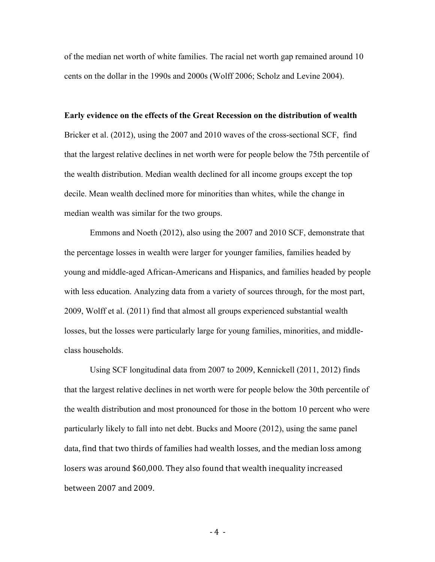of the median net worth of white families. The racial net worth gap remained around 10 cents on the dollar in the 1990s and 2000s (Wolff 2006; Scholz and Levine 2004).

#### **Early evidence on the effects of the Great Recession on the distribution of wealth**

Bricker et al. (2012), using the 2007 and 2010 waves of the cross-sectional SCF, find that the largest relative declines in net worth were for people below the 75th percentile of the wealth distribution. Median wealth declined for all income groups except the top decile. Mean wealth declined more for minorities than whites, while the change in median wealth was similar for the two groups.

Emmons and Noeth (2012), also using the 2007 and 2010 SCF, demonstrate that the percentage losses in wealth were larger for younger families, families headed by young and middle-aged African-Americans and Hispanics, and families headed by people with less education. Analyzing data from a variety of sources through, for the most part, 2009, Wolff et al. (2011) find that almost all groups experienced substantial wealth losses, but the losses were particularly large for young families, minorities, and middleclass households.

Using SCF longitudinal data from 2007 to 2009, Kennickell (2011, 2012) finds that the largest relative declines in net worth were for people below the 30th percentile of the wealth distribution and most pronounced for those in the bottom 10 percent who were particularly likely to fall into net debt. Bucks and Moore (2012), using the same panel data, find that two thirds of families had wealth losses, and the median loss among losers was around \$60,000. They also found that wealth inequality increased between 2007 and 2009.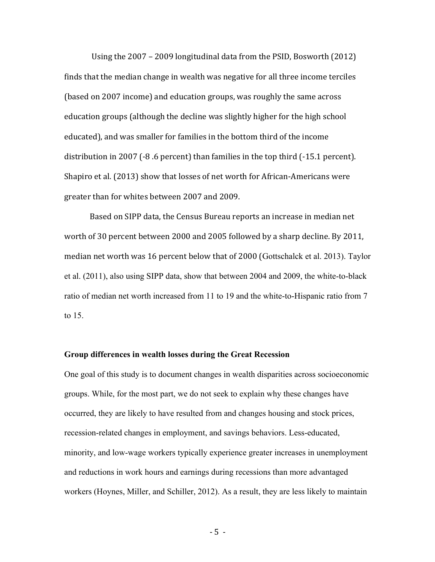Using the  $2007 - 2009$  longitudinal data from the PSID, Bosworth (2012) finds that the median change in wealth was negative for all three income terciles (based on 2007 income) and education groups, was roughly the same across education groups (although the decline was slightly higher for the high school educated), and was smaller for families in the bottom third of the income distribution in 2007 ( $-8.6$  percent) than families in the top third ( $-15.1$  percent). Shapiro et al. (2013) show that losses of net worth for African-Americans were greater than for whites between 2007 and 2009.

Based on SIPP data, the Census Bureau reports an increase in median net worth of 30 percent between 2000 and 2005 followed by a sharp decline. By 2011, median net worth was 16 percent below that of 2000 (Gottschalck et al. 2013). Taylor et al. (2011), also using SIPP data, show that between 2004 and 2009, the white-to-black ratio of median net worth increased from 11 to 19 and the white-to-Hispanic ratio from 7 to 15.

#### **Group differences in wealth losses during the Great Recession**

One goal of this study is to document changes in wealth disparities across socioeconomic groups. While, for the most part, we do not seek to explain why these changes have occurred, they are likely to have resulted from and changes housing and stock prices, recession-related changes in employment, and savings behaviors. Less-educated, minority, and low-wage workers typically experience greater increases in unemployment and reductions in work hours and earnings during recessions than more advantaged workers (Hoynes, Miller, and Schiller, 2012). As a result, they are less likely to maintain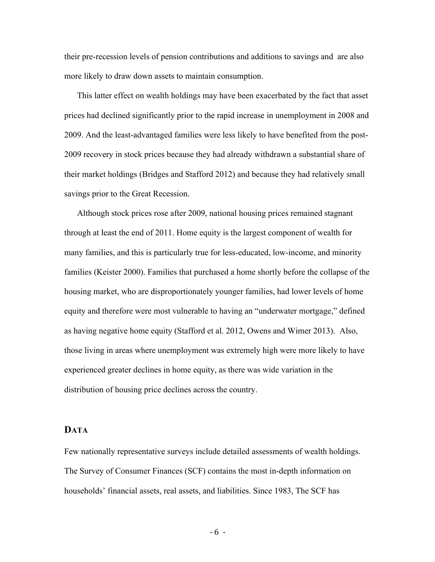their pre-recession levels of pension contributions and additions to savings and are also more likely to draw down assets to maintain consumption.

This latter effect on wealth holdings may have been exacerbated by the fact that asset prices had declined significantly prior to the rapid increase in unemployment in 2008 and 2009. And the least-advantaged families were less likely to have benefited from the post-2009 recovery in stock prices because they had already withdrawn a substantial share of their market holdings (Bridges and Stafford 2012) and because they had relatively small savings prior to the Great Recession.

Although stock prices rose after 2009, national housing prices remained stagnant through at least the end of 2011. Home equity is the largest component of wealth for many families, and this is particularly true for less-educated, low-income, and minority families (Keister 2000). Families that purchased a home shortly before the collapse of the housing market, who are disproportionately younger families, had lower levels of home equity and therefore were most vulnerable to having an "underwater mortgage," defined as having negative home equity (Stafford et al. 2012, Owens and Wimer 2013). Also, those living in areas where unemployment was extremely high were more likely to have experienced greater declines in home equity, as there was wide variation in the distribution of housing price declines across the country.

#### **DATA**

Few nationally representative surveys include detailed assessments of wealth holdings. The Survey of Consumer Finances (SCF) contains the most in-depth information on households' financial assets, real assets, and liabilities. Since 1983, The SCF has

 $-6 -$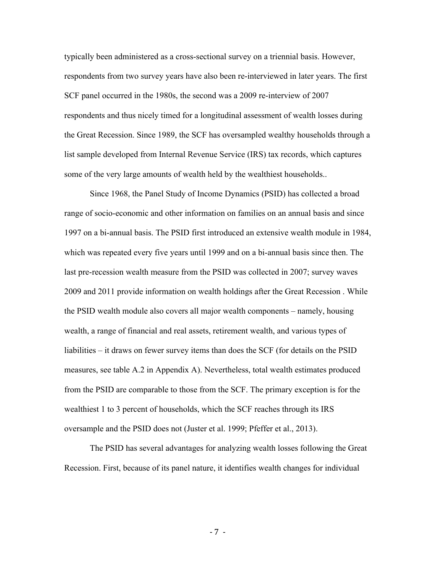typically been administered as a cross-sectional survey on a triennial basis. However, respondents from two survey years have also been re-interviewed in later years. The first SCF panel occurred in the 1980s, the second was a 2009 re-interview of 2007 respondents and thus nicely timed for a longitudinal assessment of wealth losses during the Great Recession. Since 1989, the SCF has oversampled wealthy households through a list sample developed from Internal Revenue Service (IRS) tax records, which captures some of the very large amounts of wealth held by the wealthiest households..

Since 1968, the Panel Study of Income Dynamics (PSID) has collected a broad range of socio-economic and other information on families on an annual basis and since 1997 on a bi-annual basis. The PSID first introduced an extensive wealth module in 1984, which was repeated every five years until 1999 and on a bi-annual basis since then. The last pre-recession wealth measure from the PSID was collected in 2007; survey waves 2009 and 2011 provide information on wealth holdings after the Great Recession . While the PSID wealth module also covers all major wealth components – namely, housing wealth, a range of financial and real assets, retirement wealth, and various types of liabilities – it draws on fewer survey items than does the SCF (for details on the PSID measures, see table A.2 in Appendix A). Nevertheless, total wealth estimates produced from the PSID are comparable to those from the SCF. The primary exception is for the wealthiest 1 to 3 percent of households, which the SCF reaches through its IRS oversample and the PSID does not (Juster et al. 1999; Pfeffer et al., 2013).

The PSID has several advantages for analyzing wealth losses following the Great Recession. First, because of its panel nature, it identifies wealth changes for individual

 $-7 -$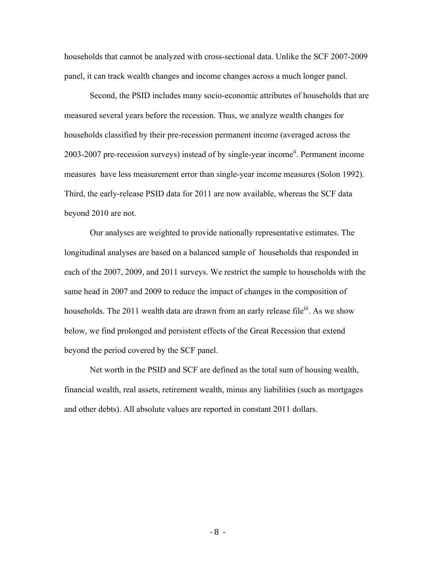households that cannot be analyzed with cross-sectional data. Unlike the SCF 2007-2009 panel, it can track wealth changes and income changes across a much longer panel.

Second, the PSID includes many socio-economic attributes of households that are measured several years before the recession. Thus, we analyze wealth changes for households classified by their pre-recession permanent income (averaged across the 2003-2007 pre-recession surveys) instead of by single-year income<sup>ii</sup>. Permanent income measures have less measurement error than single-year income measures (Solon 1992). Third, the early-release PSID data for 2011 are now available, whereas the SCF data beyond 2010 are not.

Our analyses are weighted to provide nationally representative estimates. The longitudinal analyses are based on a balanced sample of households that responded in each of the 2007, 2009, and 2011 surveys. We restrict the sample to households with the same head in 2007 and 2009 to reduce the impact of changes in the composition of households. The 2011 wealth data are drawn from an early release file<sup>iii</sup>. As we show below, we find prolonged and persistent effects of the Great Recession that extend beyond the period covered by the SCF panel.

Net worth in the PSID and SCF are defined as the total sum of housing wealth, financial wealth, real assets, retirement wealth, minus any liabilities (such as mortgages and other debts). All absolute values are reported in constant 2011 dollars.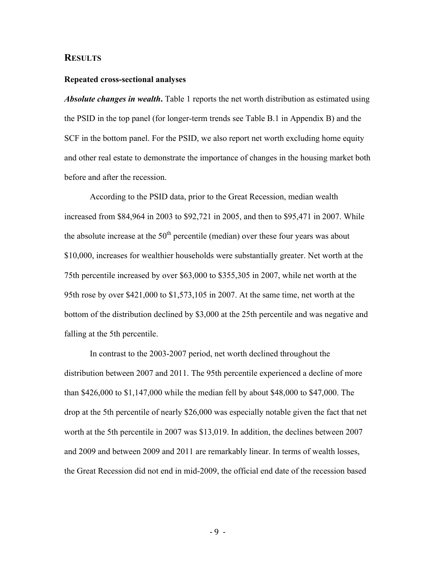### **RESULTS**

#### **Repeated cross-sectional analyses**

*Absolute changes in wealth***.** Table 1 reports the net worth distribution as estimated using the PSID in the top panel (for longer-term trends see Table B.1 in Appendix B) and the SCF in the bottom panel. For the PSID, we also report net worth excluding home equity and other real estate to demonstrate the importance of changes in the housing market both before and after the recession.

According to the PSID data, prior to the Great Recession, median wealth increased from \$84,964 in 2003 to \$92,721 in 2005, and then to \$95,471 in 2007. While the absolute increase at the  $50<sup>th</sup>$  percentile (median) over these four years was about \$10,000, increases for wealthier households were substantially greater. Net worth at the 75th percentile increased by over \$63,000 to \$355,305 in 2007, while net worth at the 95th rose by over \$421,000 to \$1,573,105 in 2007. At the same time, net worth at the bottom of the distribution declined by \$3,000 at the 25th percentile and was negative and falling at the 5th percentile.

In contrast to the 2003-2007 period, net worth declined throughout the distribution between 2007 and 2011. The 95th percentile experienced a decline of more than \$426,000 to \$1,147,000 while the median fell by about \$48,000 to \$47,000. The drop at the 5th percentile of nearly \$26,000 was especially notable given the fact that net worth at the 5th percentile in 2007 was \$13,019. In addition, the declines between 2007 and 2009 and between 2009 and 2011 are remarkably linear. In terms of wealth losses, the Great Recession did not end in mid-2009, the official end date of the recession based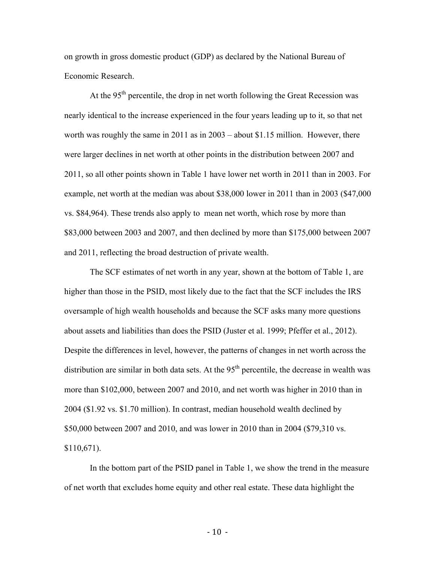on growth in gross domestic product (GDP) as declared by the National Bureau of Economic Research.

At the  $95<sup>th</sup>$  percentile, the drop in net worth following the Great Recession was nearly identical to the increase experienced in the four years leading up to it, so that net worth was roughly the same in 2011 as in 2003 – about \$1.15 million. However, there were larger declines in net worth at other points in the distribution between 2007 and 2011, so all other points shown in Table 1 have lower net worth in 2011 than in 2003. For example, net worth at the median was about \$38,000 lower in 2011 than in 2003 (\$47,000 vs. \$84,964). These trends also apply to mean net worth, which rose by more than \$83,000 between 2003 and 2007, and then declined by more than \$175,000 between 2007 and 2011, reflecting the broad destruction of private wealth.

The SCF estimates of net worth in any year, shown at the bottom of Table 1, are higher than those in the PSID, most likely due to the fact that the SCF includes the IRS oversample of high wealth households and because the SCF asks many more questions about assets and liabilities than does the PSID (Juster et al. 1999; Pfeffer et al., 2012). Despite the differences in level, however, the patterns of changes in net worth across the distribution are similar in both data sets. At the  $95<sup>th</sup>$  percentile, the decrease in wealth was more than \$102,000, between 2007 and 2010, and net worth was higher in 2010 than in 2004 (\$1.92 vs. \$1.70 million). In contrast, median household wealth declined by \$50,000 between 2007 and 2010, and was lower in 2010 than in 2004 (\$79,310 vs. \$110,671).

In the bottom part of the PSID panel in Table 1, we show the trend in the measure of net worth that excludes home equity and other real estate. These data highlight the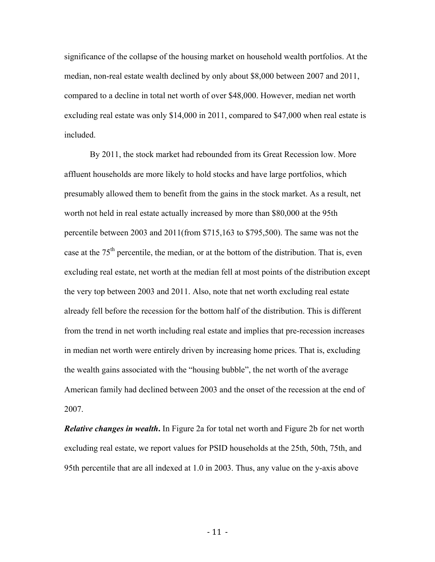significance of the collapse of the housing market on household wealth portfolios. At the median, non-real estate wealth declined by only about \$8,000 between 2007 and 2011, compared to a decline in total net worth of over \$48,000. However, median net worth excluding real estate was only \$14,000 in 2011, compared to \$47,000 when real estate is included.

By 2011, the stock market had rebounded from its Great Recession low. More affluent households are more likely to hold stocks and have large portfolios, which presumably allowed them to benefit from the gains in the stock market. As a result, net worth not held in real estate actually increased by more than \$80,000 at the 95th percentile between 2003 and 2011(from \$715,163 to \$795,500). The same was not the case at the  $75<sup>th</sup>$  percentile, the median, or at the bottom of the distribution. That is, even excluding real estate, net worth at the median fell at most points of the distribution except the very top between 2003 and 2011. Also, note that net worth excluding real estate already fell before the recession for the bottom half of the distribution. This is different from the trend in net worth including real estate and implies that pre-recession increases in median net worth were entirely driven by increasing home prices. That is, excluding the wealth gains associated with the "housing bubble", the net worth of the average American family had declined between 2003 and the onset of the recession at the end of 2007.

*Relative changes in wealth***.** In Figure 2a for total net worth and Figure 2b for net worth excluding real estate, we report values for PSID households at the 25th, 50th, 75th, and 95th percentile that are all indexed at 1.0 in 2003. Thus, any value on the y-axis above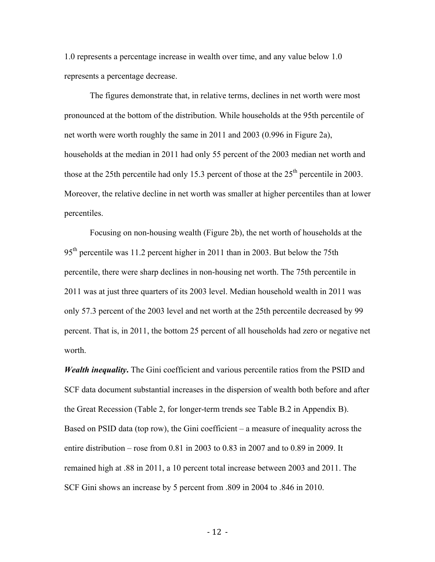1.0 represents a percentage increase in wealth over time, and any value below 1.0 represents a percentage decrease.

The figures demonstrate that, in relative terms, declines in net worth were most pronounced at the bottom of the distribution. While households at the 95th percentile of net worth were worth roughly the same in 2011 and 2003 (0.996 in Figure 2a), households at the median in 2011 had only 55 percent of the 2003 median net worth and those at the 25th percentile had only 15.3 percent of those at the  $25<sup>th</sup>$  percentile in 2003. Moreover, the relative decline in net worth was smaller at higher percentiles than at lower percentiles.

Focusing on non-housing wealth (Figure 2b), the net worth of households at the 95<sup>th</sup> percentile was 11.2 percent higher in 2011 than in 2003. But below the 75th percentile, there were sharp declines in non-housing net worth. The 75th percentile in 2011 was at just three quarters of its 2003 level. Median household wealth in 2011 was only 57.3 percent of the 2003 level and net worth at the 25th percentile decreased by 99 percent. That is, in 2011, the bottom 25 percent of all households had zero or negative net worth.

*Wealth inequality***.** The Gini coefficient and various percentile ratios from the PSID and SCF data document substantial increases in the dispersion of wealth both before and after the Great Recession (Table 2, for longer-term trends see Table B.2 in Appendix B). Based on PSID data (top row), the Gini coefficient – a measure of inequality across the entire distribution – rose from 0.81 in 2003 to 0.83 in 2007 and to 0.89 in 2009. It remained high at .88 in 2011, a 10 percent total increase between 2003 and 2011. The SCF Gini shows an increase by 5 percent from .809 in 2004 to .846 in 2010.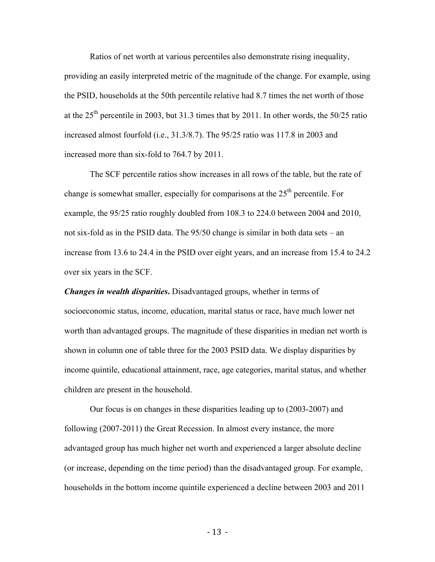Ratios of net worth at various percentiles also demonstrate rising inequality, providing an easily interpreted metric of the magnitude of the change. For example, using the PSID, households at the 50th percentile relative had 8.7 times the net worth of those at the  $25<sup>th</sup>$  percentile in 2003, but 31.3 times that by 2011. In other words, the 50/25 ratio increased almost fourfold (i.e., 31.3/8.7). The 95/25 ratio was 117.8 in 2003 and increased more than six-fold to 764.7 by 2011.

The SCF percentile ratios show increases in all rows of the table, but the rate of change is somewhat smaller, especially for comparisons at the 25<sup>th</sup> percentile. For example, the 95/25 ratio roughly doubled from 108.3 to 224.0 between 2004 and 2010, not six-fold as in the PSID data. The 95/50 change is similar in both data sets – an increase from 13.6 to 24.4 in the PSID over eight years, and an increase from 15.4 to 24.2 over six years in the SCF.

*Changes in wealth disparities***.** Disadvantaged groups, whether in terms of socioeconomic status, income, education, marital status or race, have much lower net worth than advantaged groups. The magnitude of these disparities in median net worth is shown in column one of table three for the 2003 PSID data. We display disparities by income quintile, educational attainment, race, age categories, marital status, and whether children are present in the household.

Our focus is on changes in these disparities leading up to (2003-2007) and following (2007-2011) the Great Recession. In almost every instance, the more advantaged group has much higher net worth and experienced a larger absolute decline (or increase, depending on the time period) than the disadvantaged group. For example, households in the bottom income quintile experienced a decline between 2003 and 2011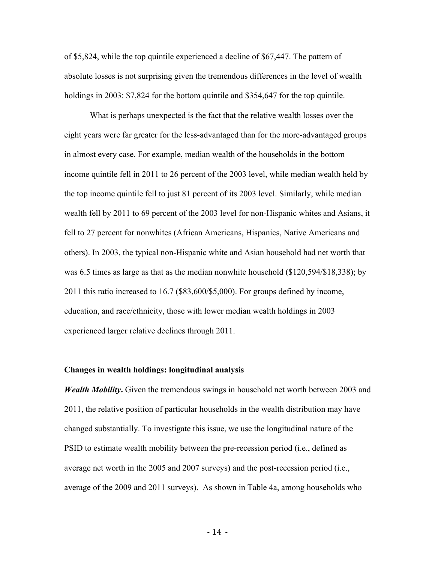of \$5,824, while the top quintile experienced a decline of \$67,447. The pattern of absolute losses is not surprising given the tremendous differences in the level of wealth holdings in 2003: \$7,824 for the bottom quintile and \$354,647 for the top quintile.

What is perhaps unexpected is the fact that the relative wealth losses over the eight years were far greater for the less-advantaged than for the more-advantaged groups in almost every case. For example, median wealth of the households in the bottom income quintile fell in 2011 to 26 percent of the 2003 level, while median wealth held by the top income quintile fell to just 81 percent of its 2003 level. Similarly, while median wealth fell by 2011 to 69 percent of the 2003 level for non-Hispanic whites and Asians, it fell to 27 percent for nonwhites (African Americans, Hispanics, Native Americans and others). In 2003, the typical non-Hispanic white and Asian household had net worth that was 6.5 times as large as that as the median nonwhite household (\$120,594/\$18,338); by 2011 this ratio increased to 16.7 (\$83,600/\$5,000). For groups defined by income, education, and race/ethnicity, those with lower median wealth holdings in 2003 experienced larger relative declines through 2011.

#### **Changes in wealth holdings: longitudinal analysis**

*Wealth Mobility***.** Given the tremendous swings in household net worth between 2003 and 2011, the relative position of particular households in the wealth distribution may have changed substantially. To investigate this issue, we use the longitudinal nature of the PSID to estimate wealth mobility between the pre-recession period (i.e., defined as average net worth in the 2005 and 2007 surveys) and the post-recession period (i.e., average of the 2009 and 2011 surveys). As shown in Table 4a, among households who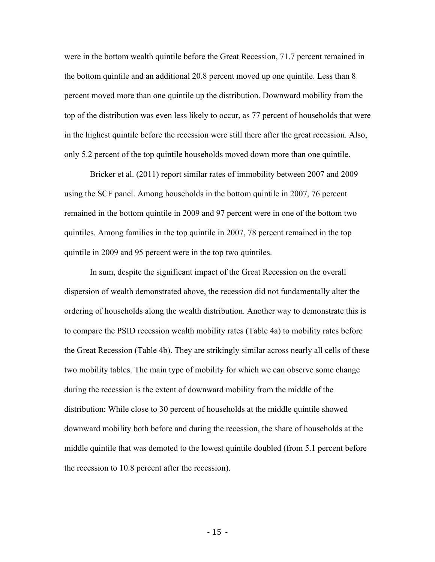were in the bottom wealth quintile before the Great Recession, 71.7 percent remained in the bottom quintile and an additional 20.8 percent moved up one quintile. Less than 8 percent moved more than one quintile up the distribution. Downward mobility from the top of the distribution was even less likely to occur, as 77 percent of households that were in the highest quintile before the recession were still there after the great recession. Also, only 5.2 percent of the top quintile households moved down more than one quintile.

Bricker et al. (2011) report similar rates of immobility between 2007 and 2009 using the SCF panel. Among households in the bottom quintile in 2007, 76 percent remained in the bottom quintile in 2009 and 97 percent were in one of the bottom two quintiles. Among families in the top quintile in 2007, 78 percent remained in the top quintile in 2009 and 95 percent were in the top two quintiles.

In sum, despite the significant impact of the Great Recession on the overall dispersion of wealth demonstrated above, the recession did not fundamentally alter the ordering of households along the wealth distribution. Another way to demonstrate this is to compare the PSID recession wealth mobility rates (Table 4a) to mobility rates before the Great Recession (Table 4b). They are strikingly similar across nearly all cells of these two mobility tables. The main type of mobility for which we can observe some change during the recession is the extent of downward mobility from the middle of the distribution: While close to 30 percent of households at the middle quintile showed downward mobility both before and during the recession, the share of households at the middle quintile that was demoted to the lowest quintile doubled (from 5.1 percent before the recession to 10.8 percent after the recession).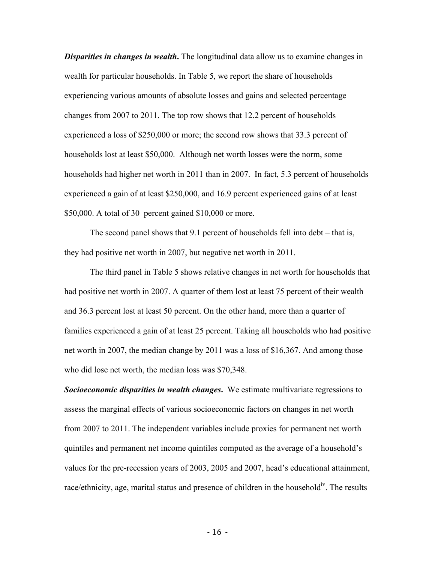*Disparities in changes in wealth***.** The longitudinal data allow us to examine changes in wealth for particular households. In Table 5, we report the share of households experiencing various amounts of absolute losses and gains and selected percentage changes from 2007 to 2011. The top row shows that 12.2 percent of households experienced a loss of \$250,000 or more; the second row shows that 33.3 percent of households lost at least \$50,000. Although net worth losses were the norm, some households had higher net worth in 2011 than in 2007. In fact, 5.3 percent of households experienced a gain of at least \$250,000, and 16.9 percent experienced gains of at least \$50,000. A total of 30 percent gained \$10,000 or more.

The second panel shows that 9.1 percent of households fell into debt – that is, they had positive net worth in 2007, but negative net worth in 2011.

The third panel in Table 5 shows relative changes in net worth for households that had positive net worth in 2007. A quarter of them lost at least 75 percent of their wealth and 36.3 percent lost at least 50 percent. On the other hand, more than a quarter of families experienced a gain of at least 25 percent. Taking all households who had positive net worth in 2007, the median change by 2011 was a loss of \$16,367. And among those who did lose net worth, the median loss was \$70,348.

*Socioeconomic disparities in wealth changes***.** We estimate multivariate regressions to assess the marginal effects of various socioeconomic factors on changes in net worth from 2007 to 2011. The independent variables include proxies for permanent net worth quintiles and permanent net income quintiles computed as the average of a household's values for the pre-recession years of 2003, 2005 and 2007, head's educational attainment, race/ethnicity, age, marital status and presence of children in the household<sup>iv</sup>. The results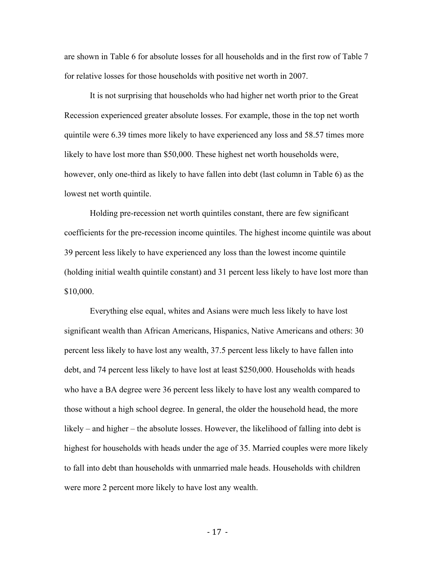are shown in Table 6 for absolute losses for all households and in the first row of Table 7 for relative losses for those households with positive net worth in 2007.

It is not surprising that households who had higher net worth prior to the Great Recession experienced greater absolute losses. For example, those in the top net worth quintile were 6.39 times more likely to have experienced any loss and 58.57 times more likely to have lost more than \$50,000. These highest net worth households were, however, only one-third as likely to have fallen into debt (last column in Table 6) as the lowest net worth quintile.

Holding pre-recession net worth quintiles constant, there are few significant coefficients for the pre-recession income quintiles. The highest income quintile was about 39 percent less likely to have experienced any loss than the lowest income quintile (holding initial wealth quintile constant) and 31 percent less likely to have lost more than \$10,000.

Everything else equal, whites and Asians were much less likely to have lost significant wealth than African Americans, Hispanics, Native Americans and others: 30 percent less likely to have lost any wealth, 37.5 percent less likely to have fallen into debt, and 74 percent less likely to have lost at least \$250,000. Households with heads who have a BA degree were 36 percent less likely to have lost any wealth compared to those without a high school degree. In general, the older the household head, the more likely – and higher – the absolute losses. However, the likelihood of falling into debt is highest for households with heads under the age of 35. Married couples were more likely to fall into debt than households with unmarried male heads. Households with children were more 2 percent more likely to have lost any wealth.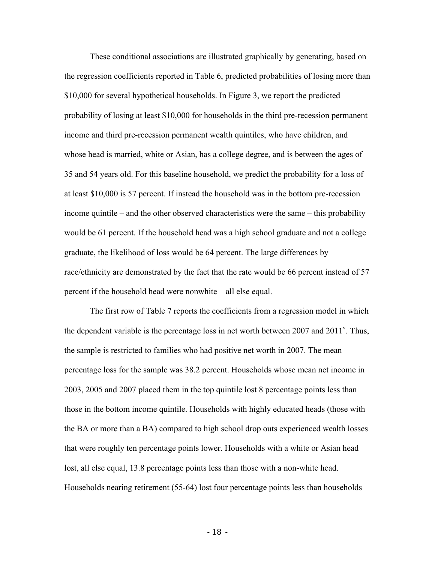These conditional associations are illustrated graphically by generating, based on the regression coefficients reported in Table 6, predicted probabilities of losing more than \$10,000 for several hypothetical households. In Figure 3, we report the predicted probability of losing at least \$10,000 for households in the third pre-recession permanent income and third pre-recession permanent wealth quintiles, who have children, and whose head is married, white or Asian, has a college degree, and is between the ages of 35 and 54 years old. For this baseline household, we predict the probability for a loss of at least \$10,000 is 57 percent. If instead the household was in the bottom pre-recession income quintile – and the other observed characteristics were the same – this probability would be 61 percent. If the household head was a high school graduate and not a college graduate, the likelihood of loss would be 64 percent. The large differences by race/ethnicity are demonstrated by the fact that the rate would be 66 percent instead of 57 percent if the household head were nonwhite – all else equal.

The first row of Table 7 reports the coefficients from a regression model in which the dependent variable is the percentage loss in net worth between  $2007$  and  $2011^{\circ}$ . Thus, the sample is restricted to families who had positive net worth in 2007. The mean percentage loss for the sample was 38.2 percent. Households whose mean net income in 2003, 2005 and 2007 placed them in the top quintile lost 8 percentage points less than those in the bottom income quintile. Households with highly educated heads (those with the BA or more than a BA) compared to high school drop outs experienced wealth losses that were roughly ten percentage points lower. Households with a white or Asian head lost, all else equal, 13.8 percentage points less than those with a non-white head. Households nearing retirement (55-64) lost four percentage points less than households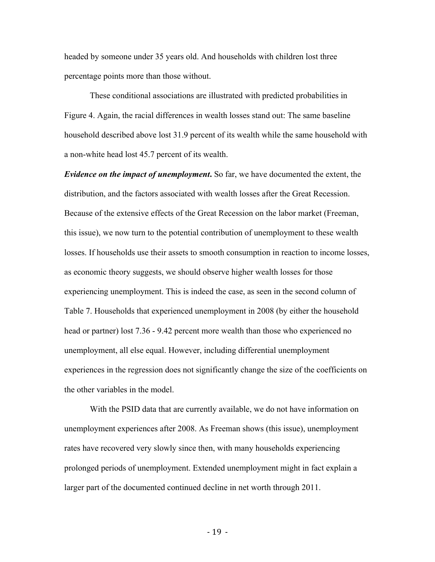headed by someone under 35 years old. And households with children lost three percentage points more than those without.

These conditional associations are illustrated with predicted probabilities in Figure 4. Again, the racial differences in wealth losses stand out: The same baseline household described above lost 31.9 percent of its wealth while the same household with a non-white head lost 45.7 percent of its wealth.

*Evidence on the impact of unemployment***.** So far, we have documented the extent, the distribution, and the factors associated with wealth losses after the Great Recession. Because of the extensive effects of the Great Recession on the labor market (Freeman, this issue), we now turn to the potential contribution of unemployment to these wealth losses. If households use their assets to smooth consumption in reaction to income losses, as economic theory suggests, we should observe higher wealth losses for those experiencing unemployment. This is indeed the case, as seen in the second column of Table 7. Households that experienced unemployment in 2008 (by either the household head or partner) lost 7.36 - 9.42 percent more wealth than those who experienced no unemployment, all else equal. However, including differential unemployment experiences in the regression does not significantly change the size of the coefficients on the other variables in the model.

With the PSID data that are currently available, we do not have information on unemployment experiences after 2008. As Freeman shows (this issue), unemployment rates have recovered very slowly since then, with many households experiencing prolonged periods of unemployment. Extended unemployment might in fact explain a larger part of the documented continued decline in net worth through 2011.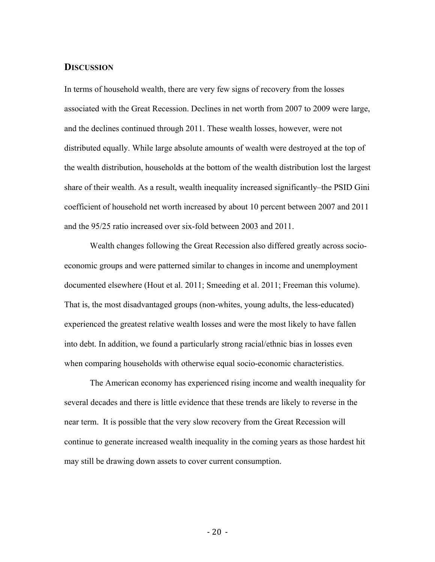#### **DISCUSSION**

In terms of household wealth, there are very few signs of recovery from the losses associated with the Great Recession. Declines in net worth from 2007 to 2009 were large, and the declines continued through 2011. These wealth losses, however, were not distributed equally. While large absolute amounts of wealth were destroyed at the top of the wealth distribution, households at the bottom of the wealth distribution lost the largest share of their wealth. As a result, wealth inequality increased significantly–the PSID Gini coefficient of household net worth increased by about 10 percent between 2007 and 2011 and the 95/25 ratio increased over six-fold between 2003 and 2011.

Wealth changes following the Great Recession also differed greatly across socioeconomic groups and were patterned similar to changes in income and unemployment documented elsewhere (Hout et al. 2011; Smeeding et al. 2011; Freeman this volume). That is, the most disadvantaged groups (non-whites, young adults, the less-educated) experienced the greatest relative wealth losses and were the most likely to have fallen into debt. In addition, we found a particularly strong racial/ethnic bias in losses even when comparing households with otherwise equal socio-economic characteristics.

The American economy has experienced rising income and wealth inequality for several decades and there is little evidence that these trends are likely to reverse in the near term. It is possible that the very slow recovery from the Great Recession will continue to generate increased wealth inequality in the coming years as those hardest hit may still be drawing down assets to cover current consumption.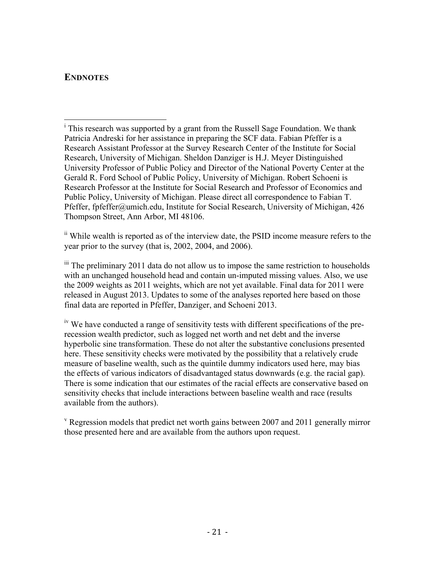## **ENDNOTES**

ii While wealth is reported as of the interview date, the PSID income measure refers to the year prior to the survey (that is, 2002, 2004, and 2006).

 $\ddot{\text{m}}$  The preliminary 2011 data do not allow us to impose the same restriction to households with an unchanged household head and contain un-imputed missing values. Also, we use the 2009 weights as 2011 weights, which are not yet available. Final data for 2011 were released in August 2013. Updates to some of the analyses reported here based on those final data are reported in Pfeffer, Danziger, and Schoeni 2013.

<sup>iv</sup> We have conducted a range of sensitivity tests with different specifications of the prerecession wealth predictor, such as logged net worth and net debt and the inverse hyperbolic sine transformation. These do not alter the substantive conclusions presented here. These sensitivity checks were motivated by the possibility that a relatively crude measure of baseline wealth, such as the quintile dummy indicators used here, may bias the effects of various indicators of disadvantaged status downwards (e.g. the racial gap). There is some indication that our estimates of the racial effects are conservative based on sensitivity checks that include interactions between baseline wealth and race (results available from the authors).

 $\rm v$  Regression models that predict net worth gains between 2007 and 2011 generally mirror those presented here and are available from the authors upon request.

 $\frac{1}{1}$  This research was supported by a grant from the Russell Sage Foundation. We thank Patricia Andreski for her assistance in preparing the SCF data. Fabian Pfeffer is a Research Assistant Professor at the Survey Research Center of the Institute for Social Research, University of Michigan. Sheldon Danziger is H.J. Meyer Distinguished University Professor of Public Policy and Director of the National Poverty Center at the Gerald R. Ford School of Public Policy, University of Michigan. Robert Schoeni is Research Professor at the Institute for Social Research and Professor of Economics and Public Policy, University of Michigan. Please direct all correspondence to Fabian T. Pfeffer, fpfeffer@umich.edu, Institute for Social Research, University of Michigan, 426 Thompson Street, Ann Arbor, MI 48106.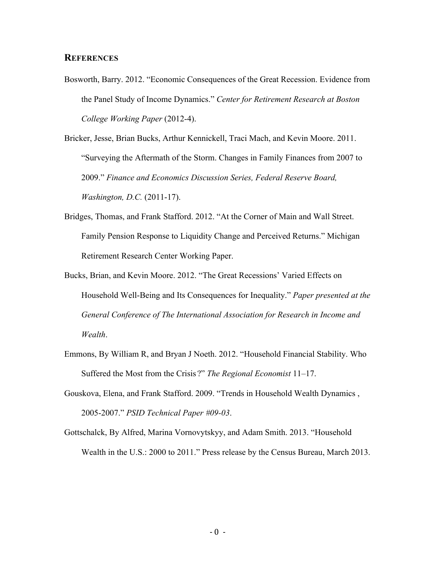### **REFERENCES**

Bosworth, Barry. 2012. "Economic Consequences of the Great Recession. Evidence from the Panel Study of Income Dynamics." *Center for Retirement Research at Boston College Working Paper* (2012-4).

Bricker, Jesse, Brian Bucks, Arthur Kennickell, Traci Mach, and Kevin Moore. 2011. "Surveying the Aftermath of the Storm. Changes in Family Finances from 2007 to 2009." *Finance and Economics Discussion Series, Federal Reserve Board, Washington, D.C.* (2011-17).

- Bridges, Thomas, and Frank Stafford. 2012. "At the Corner of Main and Wall Street. Family Pension Response to Liquidity Change and Perceived Returns." Michigan Retirement Research Center Working Paper.
- Bucks, Brian, and Kevin Moore. 2012. "The Great Recessions' Varied Effects on Household Well-Being and Its Consequences for Inequality." *Paper presented at the General Conference of The International Association for Research in Income and Wealth*.
- Emmons, By William R, and Bryan J Noeth. 2012. "Household Financial Stability. Who Suffered the Most from the Crisis ?" *The Regional Economist* 11–17.
- Gouskova, Elena, and Frank Stafford. 2009. "Trends in Household Wealth Dynamics , 2005-2007." *PSID Technical Paper #09-03*.
- Gottschalck, By Alfred, Marina Vornovytskyy, and Adam Smith. 2013. "Household Wealth in the U.S.: 2000 to 2011." Press release by the Census Bureau, March 2013.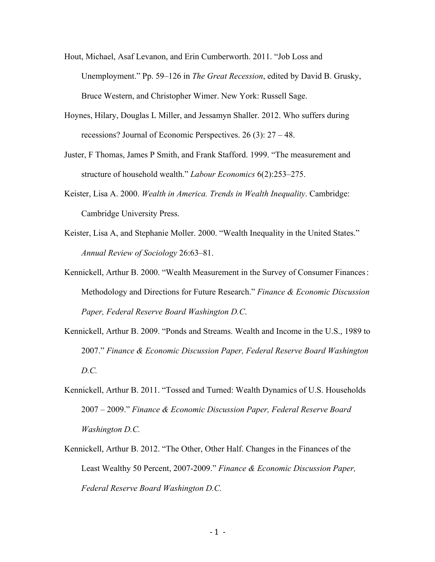- Hout, Michael, Asaf Levanon, and Erin Cumberworth. 2011. "Job Loss and Unemployment." Pp. 59–126 in *The Great Recession*, edited by David B. Grusky, Bruce Western, and Christopher Wimer. New York: Russell Sage.
- Hoynes, Hilary, Douglas L Miller, and Jessamyn Shaller. 2012. Who suffers during recessions? Journal of Economic Perspectives. 26 (3): 27 – 48.
- Juster, F Thomas, James P Smith, and Frank Stafford. 1999. "The measurement and structure of household wealth." *Labour Economics* 6(2):253–275.
- Keister, Lisa A. 2000. *Wealth in America. Trends in Wealth Inequality*. Cambridge: Cambridge University Press.
- Keister, Lisa A, and Stephanie Moller. 2000. "Wealth Inequality in the United States." *Annual Review of Sociology* 26:63–81.
- Kennickell, Arthur B. 2000. "Wealth Measurement in the Survey of Consumer Finances: Methodology and Directions for Future Research." *Finance & Economic Discussion Paper, Federal Reserve Board Washington D.C*.
- Kennickell, Arthur B. 2009. "Ponds and Streams. Wealth and Income in the U.S., 1989 to 2007." *Finance & Economic Discussion Paper, Federal Reserve Board Washington D.C.*
- Kennickell, Arthur B. 2011. "Tossed and Turned: Wealth Dynamics of U.S. Households 2007 – 2009." *Finance & Economic Discussion Paper, Federal Reserve Board Washington D.C.*
- Kennickell, Arthur B. 2012. "The Other, Other Half. Changes in the Finances of the Least Wealthy 50 Percent, 2007-2009." *Finance & Economic Discussion Paper, Federal Reserve Board Washington D.C.*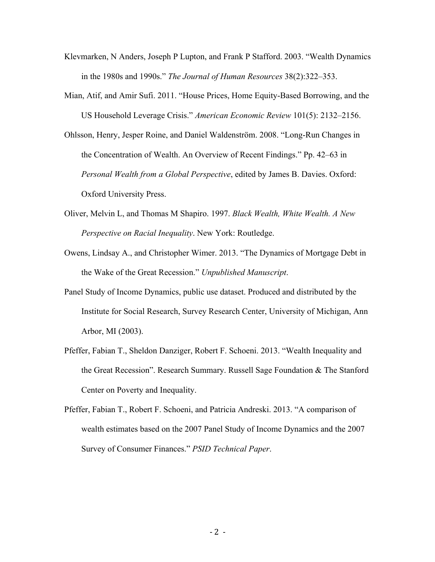- Klevmarken, N Anders, Joseph P Lupton, and Frank P Stafford. 2003. "Wealth Dynamics in the 1980s and 1990s." *The Journal of Human Resources* 38(2):322–353.
- Mian, Atif, and Amir Sufi. 2011. "House Prices, Home Equity-Based Borrowing, and the US Household Leverage Crisis." *American Economic Review* 101(5): 2132–2156.
- Ohlsson, Henry, Jesper Roine, and Daniel Waldenström. 2008. "Long-Run Changes in the Concentration of Wealth. An Overview of Recent Findings." Pp. 42–63 in *Personal Wealth from a Global Perspective*, edited by James B. Davies. Oxford: Oxford University Press.
- Oliver, Melvin L, and Thomas M Shapiro. 1997. *Black Wealth, White Wealth. A New Perspective on Racial Inequality*. New York: Routledge.
- Owens, Lindsay A., and Christopher Wimer. 2013. "The Dynamics of Mortgage Debt in the Wake of the Great Recession." *Unpublished Manuscript*.
- Panel Study of Income Dynamics, public use dataset. Produced and distributed by the Institute for Social Research, Survey Research Center, University of Michigan, Ann Arbor, MI (2003).
- Pfeffer, Fabian T., Sheldon Danziger, Robert F. Schoeni. 2013. "Wealth Inequality and the Great Recession". Research Summary. Russell Sage Foundation & The Stanford Center on Poverty and Inequality.
- Pfeffer, Fabian T., Robert F. Schoeni, and Patricia Andreski. 2013. "A comparison of wealth estimates based on the 2007 Panel Study of Income Dynamics and the 2007 Survey of Consumer Finances." *PSID Technical Paper*.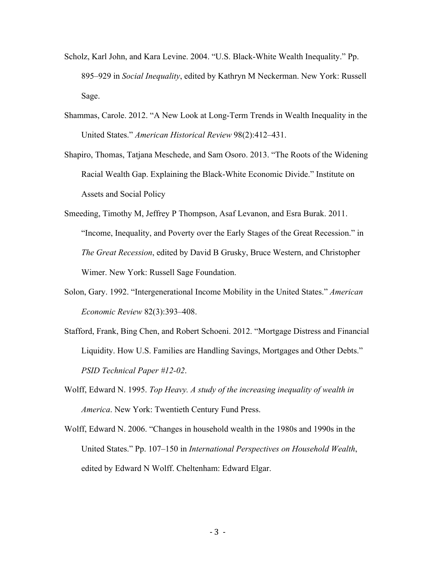- Scholz, Karl John, and Kara Levine. 2004. "U.S. Black-White Wealth Inequality." Pp. 895–929 in *Social Inequality*, edited by Kathryn M Neckerman. New York: Russell Sage.
- Shammas, Carole. 2012. "A New Look at Long-Term Trends in Wealth Inequality in the United States." *American Historical Review* 98(2):412–431.
- Shapiro, Thomas, Tatjana Meschede, and Sam Osoro. 2013. "The Roots of the Widening Racial Wealth Gap. Explaining the Black-White Economic Divide." Institute on Assets and Social Policy
- Smeeding, Timothy M, Jeffrey P Thompson, Asaf Levanon, and Esra Burak. 2011. "Income, Inequality, and Poverty over the Early Stages of the Great Recession." in *The Great Recession*, edited by David B Grusky, Bruce Western, and Christopher Wimer. New York: Russell Sage Foundation.
- Solon, Gary. 1992. "Intergenerational Income Mobility in the United States." *American Economic Review* 82(3):393–408.
- Stafford, Frank, Bing Chen, and Robert Schoeni. 2012. "Mortgage Distress and Financial Liquidity. How U.S. Families are Handling Savings, Mortgages and Other Debts." *PSID Technical Paper #12-02*.
- Wolff, Edward N. 1995. *Top Heavy. A study of the increasing inequality of wealth in America*. New York: Twentieth Century Fund Press.
- Wolff, Edward N. 2006. "Changes in household wealth in the 1980s and 1990s in the United States." Pp. 107–150 in *International Perspectives on Household Wealth*, edited by Edward N Wolff. Cheltenham: Edward Elgar.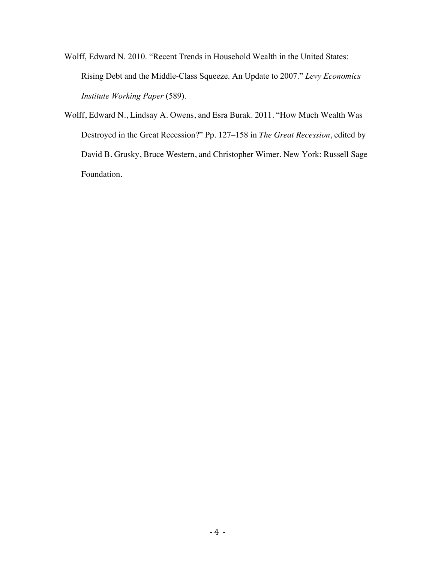- Wolff, Edward N. 2010. "Recent Trends in Household Wealth in the United States: Rising Debt and the Middle-Class Squeeze. An Update to 2007." *Levy Economics Institute Working Paper* (589).
- Wolff, Edward N., Lindsay A. Owens, and Esra Burak. 2011. "How Much Wealth Was Destroyed in the Great Recession?" Pp. 127–158 in *The Great Recession*, edited by David B. Grusky, Bruce Western, and Christopher Wimer. New York: Russell Sage Foundation.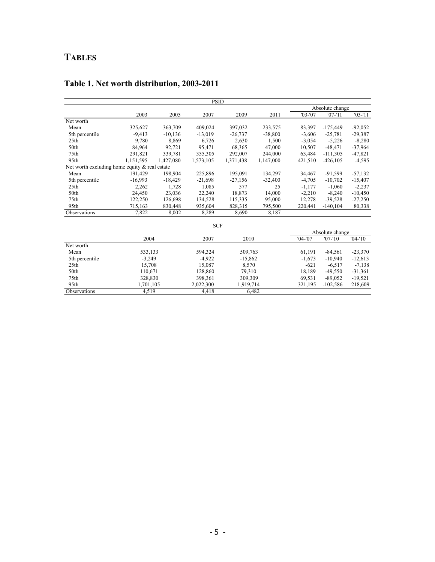# **TABLES**

|                                               |           |           | <b>PSID</b> |           |           |             |                 |            |
|-----------------------------------------------|-----------|-----------|-------------|-----------|-----------|-------------|-----------------|------------|
|                                               |           |           |             |           |           |             | Absolute change |            |
|                                               | 2003      | 2005      | 2007        | 2009      | 2011      | $'03 - '07$ | $'07 - 11$      | $'03 - 11$ |
| Net worth                                     |           |           |             |           |           |             |                 |            |
| Mean                                          | 325,627   | 363,709   | 409,024     | 397,032   | 233,575   | 83,397      | $-175,449$      | $-92,052$  |
| 5th percentile                                | $-9,413$  | $-10,136$ | $-13,019$   | $-26,737$ | $-38,800$ | $-3,606$    | $-25,781$       | $-29,387$  |
| 25 <sub>th</sub>                              | 9,780     | 8,869     | 6,726       | 2,630     | 1,500     | $-3,054$    | $-5,226$        | $-8,280$   |
| 50th                                          | 84,964    | 92,721    | 95,471      | 68,365    | 47,000    | 10,507      | $-48,471$       | $-37,964$  |
| 75th                                          | 291,821   | 339,781   | 355,305     | 292,007   | 244,000   | 63,484      | $-111,305$      | $-47,821$  |
| 95th                                          | 1,151,595 | 1,427,080 | 1,573,105   | 1,371,438 | 1,147,000 | 421,510     | $-426.105$      | $-4,595$   |
| Net worth excluding home equity & real estate |           |           |             |           |           |             |                 |            |
| Mean                                          | 191,429   | 198,904   | 225,896     | 195,091   | 134,297   | 34,467      | $-91,599$       | $-57,132$  |
| 5th percentile                                | $-16,993$ | $-18,429$ | $-21,698$   | $-27,156$ | $-32,400$ | $-4,705$    | $-10,702$       | $-15,407$  |
| 25 <sub>th</sub>                              | 2,262     | 1,728     | 1,085       | 577       | 25        | $-1,177$    | $-1,060$        | $-2,237$   |
| 50th                                          | 24,450    | 23,036    | 22,240      | 18,873    | 14,000    | $-2,210$    | $-8,240$        | $-10,450$  |
| 75th                                          | 122,250   | 126,698   | 134,528     | 115,335   | 95,000    | 12,278      | $-39,528$       | $-27,250$  |
| 95th                                          | 715,163   | 830,448   | 935,604     | 828,315   | 795,500   | 220,441     | $-140, 104$     | 80,338     |
| Observations                                  | 7,822     | 8,002     | 8,289       | 8,690     | 8,187     |             |                 |            |
|                                               |           |           | <b>SCF</b>  |           |           |             |                 |            |
|                                               |           |           |             |           |           |             | Absolute change |            |
|                                               | 2004      |           | 2007        | 2010      |           | $'04 - '07$ | $'07 - 10'$     | $'04-'10$  |
| Net worth                                     |           |           |             |           |           |             |                 |            |
| Mean                                          | 533,133   |           | 594,324     | 509,763   |           | 61,191      | $-84,561$       | $-23,370$  |
| 5th percentile                                | $-3,249$  |           | $-4,922$    | $-15,862$ |           | $-1,673$    | $-10,940$       | $-12,613$  |
| 25 <sub>th</sub>                              | 15,708    |           | 15,087      | 8,570     |           | $-621$      | $-6,517$        | $-7,138$   |
| 50th                                          | 110,671   |           | 128,860     | 79,310    |           | 18,189      | $-49,550$       | $-31,361$  |
| 75th                                          | 328,830   |           | 398,361     | 309,309   |           | 69,531      | $-89,052$       | $-19,521$  |
| 95th                                          | 1,701,105 |           | 2,022,300   | 1,919,714 |           | 321,195     | $-102,586$      | 218,609    |
| Observations                                  | 4,519     |           | 4,418       |           | 6,482     |             |                 |            |

# **Table 1. Net worth distribution, 2003-2011**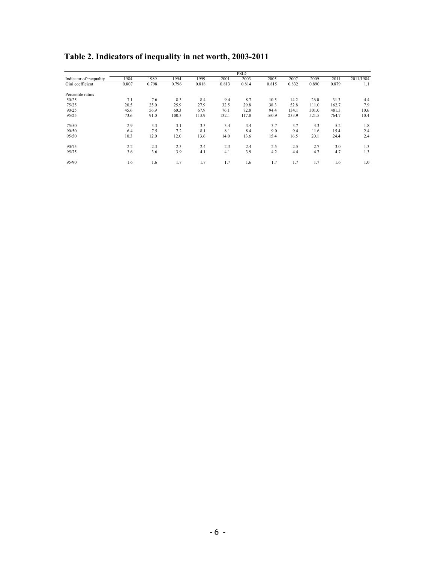|                         |       |       |       |       |       | <b>PSID</b> |       |       |       |       |           |
|-------------------------|-------|-------|-------|-------|-------|-------------|-------|-------|-------|-------|-----------|
| Indicator of inequality | 1984  | 1989  | 1994  | 1999  | 2001  | 2003        | 2005  | 2007  | 2009  | 2011  | 2011/1984 |
| Gini coefficient        | 0.807 | 0.798 | 0.796 | 0.818 | 0.813 | 0.814       | 0.815 | 0.832 | 0.890 | 0.879 | 1.1       |
| Percentile ratios       |       |       |       |       |       |             |       |       |       |       |           |
| 50/25                   | 7.1   | 7.6   | 8.3   | 8.4   | 9.4   | 8.7         | 10.5  | 14.2  | 26.0  | 31.3  | 4.4       |
| 75/25                   | 20.5  | 25.0  | 25.9  | 27.9  | 32.5  | 29.8        | 38.3  | 52.8  | 111.0 | 162.7 | 7.9       |
| 90/25                   | 45.6  | 56.9  | 60.3  | 67.9  | 76.1  | 72.8        | 94.4  | 134.1 | 301.0 | 481.3 | 10.6      |
| 95/25                   | 73.6  | 91.0  | 100.3 | 113.9 | 132.1 | 117.8       | 160.9 | 233.9 | 521.5 | 764.7 | 10.4      |
| 75/50                   | 2.9   | 3.3   | 3.1   | 3.3   | 3.4   | 3.4         | 3.7   | 3.7   | 4.3   | 5.2   | 1.8       |
| 90/50                   | 6.4   | 7.5   | 7.2   | 8.1   | 8.1   | 8.4         | 9.0   | 9.4   | 11.6  | 15.4  | 2.4       |
| 95/50                   | 10.3  | 12.0  | 12.0  | 13.6  | 14.0  | 13.6        | 15.4  | 16.5  | 20.1  | 24.4  | 2.4       |
| 90/75                   | 2.2   | 2.3   | 2.3   | 2.4   | 2.3   | 2.4         | 2.5   | 2.5   | 2.7   | 3.0   | 1.3       |
| 95/75                   | 3.6   | 3.6   | 3.9   | 4.1   | 4.1   | 3.9         | 4.2   | 4.4   | 4.7   | 4.7   | 1.3       |
| 95/90                   | 1.6   | 1.6   | 1.7   | 1.7   | 1.7   | 1.6         | 1.7   | 1.7   | 1.7   | 1.6   | 1.0       |

**Table 2. Indicators of inequality in net worth, 2003-2011**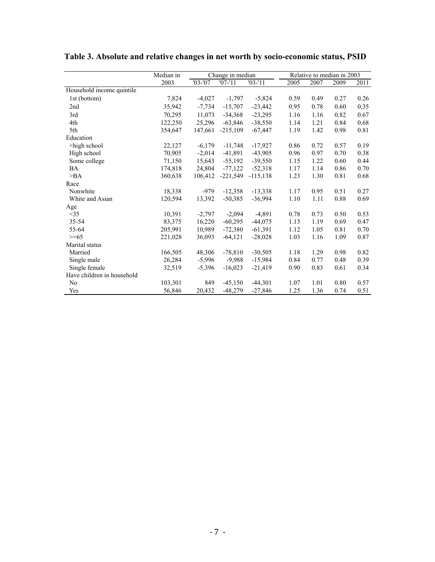|                                                                                                                                                                                         | Median in | Change in median |             |            |      | Relative to median in 2003 |      |      |  |
|-----------------------------------------------------------------------------------------------------------------------------------------------------------------------------------------|-----------|------------------|-------------|------------|------|----------------------------|------|------|--|
|                                                                                                                                                                                         | 2003      | $'03 - '07$      | $'07 - '11$ | $'03 - 11$ | 2005 | 2007                       | 2009 | 2011 |  |
| Household income quintile                                                                                                                                                               |           |                  |             |            |      |                            |      |      |  |
| 1st (bottom)                                                                                                                                                                            | 7,824     | $-4,027$         | $-1,797$    | $-5,824$   | 0.59 | 0.49                       | 0.27 | 0.26 |  |
| 2nd                                                                                                                                                                                     | 35,942    | $-7,734$         | $-15,707$   | $-23,442$  | 0.95 | 0.78                       | 0.60 | 0.35 |  |
| 3rd                                                                                                                                                                                     | 70,295    | 11.073           | $-34,368$   | $-23,295$  | 1.16 | 1.16                       | 0.82 | 0.67 |  |
| 4th                                                                                                                                                                                     | 122,250   | 25,296           | $-63,846$   | $-38,550$  | 1.14 | 1.21                       | 0.84 | 0.68 |  |
| 5th                                                                                                                                                                                     | 354,647   | 147,661          | $-215,109$  | $-67,447$  | 1.19 | 1.42                       | 0.98 | 0.81 |  |
| Education                                                                                                                                                                               |           |                  |             |            |      |                            |      |      |  |
| <high school<="" td=""><td>22,127</td><td><math>-6,179</math></td><td><math>-11,748</math></td><td><math>-17,927</math></td><td>0.86</td><td>0.72</td><td>0.57</td><td>0.19</td></high> | 22,127    | $-6,179$         | $-11,748$   | $-17,927$  | 0.86 | 0.72                       | 0.57 | 0.19 |  |
| High school                                                                                                                                                                             | 70,905    | $-2,014$         | $-41,891$   | $-43,905$  | 0.96 | 0.97                       | 0.70 | 0.38 |  |
| Some college                                                                                                                                                                            | 71,150    | 15,643           | $-55,192$   | $-39,550$  | 1.15 | 1.22                       | 0.60 | 0.44 |  |
| <b>BA</b>                                                                                                                                                                               | 174,818   | 24,804           | $-77,122$   | $-52,318$  | 1.17 | 1.14                       | 0.86 | 0.70 |  |
| >BA                                                                                                                                                                                     | 360,638   | 106,412          | $-221,549$  | $-115,138$ | 1.23 | 1.30                       | 0.81 | 0.68 |  |
| Race                                                                                                                                                                                    |           |                  |             |            |      |                            |      |      |  |
| Nonwhite                                                                                                                                                                                | 18,338    | $-979$           | $-12,358$   | $-13,338$  | 1.17 | 0.95                       | 0.51 | 0.27 |  |
| White and Asian                                                                                                                                                                         | 120,594   | 13,392           | $-50,385$   | $-36,994$  | 1.10 | 1.11                       | 0.88 | 0.69 |  |
| Age                                                                                                                                                                                     |           |                  |             |            |      |                            |      |      |  |
| <35                                                                                                                                                                                     | 10,391    | $-2,797$         | $-2,094$    | $-4,891$   | 0.78 | 0.73                       | 0.50 | 0.53 |  |
| 35-54                                                                                                                                                                                   | 83,375    | 16,220           | $-60,295$   | $-44,075$  | 1.13 | 1.19                       | 0.69 | 0.47 |  |
| 55-64                                                                                                                                                                                   | 205,991   | 10,989           | $-72,380$   | $-61,391$  | 1.12 | 1.05                       | 0.81 | 0.70 |  |
| $>= 65$                                                                                                                                                                                 | 221,028   | 36,093           | $-64,121$   | $-28,028$  | 1.03 | 1.16                       | 1.09 | 0.87 |  |
| Marital status                                                                                                                                                                          |           |                  |             |            |      |                            |      |      |  |
| Married                                                                                                                                                                                 | 166,505   | 48,306           | $-78,810$   | $-30,505$  | 1.18 | 1.29                       | 0.98 | 0.82 |  |
| Single male                                                                                                                                                                             | 26,284    | $-5,996$         | $-9.988$    | $-15,984$  | 0.84 | 0.77                       | 0.48 | 0.39 |  |
| Single female                                                                                                                                                                           | 32,519    | $-5,396$         | $-16,023$   | $-21,419$  | 0.90 | 0.83                       | 0.61 | 0.34 |  |
| Have children in household                                                                                                                                                              |           |                  |             |            |      |                            |      |      |  |
| No                                                                                                                                                                                      | 103,301   | 849              | $-45,150$   | $-44,301$  | 1.07 | 1.01                       | 0.80 | 0.57 |  |
| Yes                                                                                                                                                                                     | 56,846    | 20,432           | $-48,279$   | $-27,846$  | 1.25 | 1.36                       | 0.74 | 0.51 |  |

**Table 3. Absolute and relative changes in net worth by socio-economic status, PSID**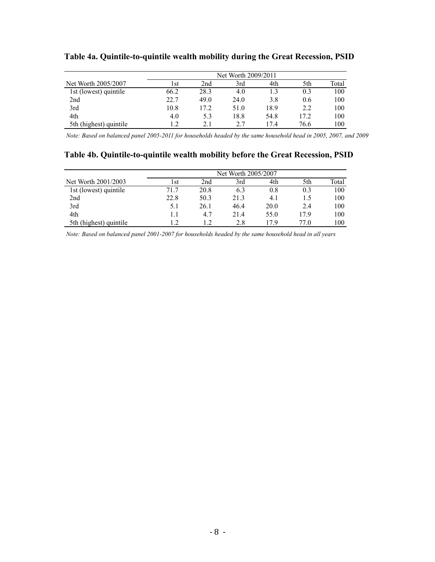|                        | Net Worth 2009/2011 |      |      |      |      |       |  |  |  |
|------------------------|---------------------|------|------|------|------|-------|--|--|--|
| Net Worth 2005/2007    | l st                | 2nd  | 3rd  | 4th  | 5th  | Total |  |  |  |
| 1st (lowest) quintile  | 66.2                | 28.3 | 4.0  |      | 0.3  | 100   |  |  |  |
| 2nd                    | 22.7                | 49.0 | 24.0 | 3.8  | 0.6  | 100   |  |  |  |
| 3rd                    | 10.8                | 17.2 | 51.0 | 18.9 | 2.2  | 100   |  |  |  |
| 4th                    | 4.0                 | 5.3  | 18.8 | 54.8 | 17.2 | 100   |  |  |  |
| 5th (highest) quintile |                     |      | 2.7  | 174  | 76.6 | 100   |  |  |  |

## **Table 4a. Quintile-to-quintile wealth mobility during the Great Recession, PSID**

*Note: Based on balanced panel 2005-2011 for households headed by the same household head in 2005, 2007, and 2009*

## **Table 4b. Quintile-to-quintile wealth mobility before the Great Recession, PSID**

|                        | Net Worth 2005/2007 |      |      |      |      |       |  |  |  |
|------------------------|---------------------|------|------|------|------|-------|--|--|--|
| Net Worth 2001/2003    | l st                | 2nd  | 3rd  | 4th  | 5th  | Total |  |  |  |
| 1st (lowest) quintile  | 71.7                | 20.8 | 6.3  | 0.8  | 0.3  | 100   |  |  |  |
| 2nd                    | 22.8                | 50.3 | 21.3 | 4.1  | L.5  | 100   |  |  |  |
| 3rd                    | 5.1                 | 26.1 | 46.4 | 20.0 | 2.4  | 100   |  |  |  |
| 4th                    |                     | 4.7  | 21.4 | 55.0 | 17.9 | 100   |  |  |  |
| 5th (highest) quintile |                     |      | 2.8  | 17 Q | 77.0 | 100   |  |  |  |

*Note: Based on balanced panel 2001-2007 for households headed by the same household head in all years*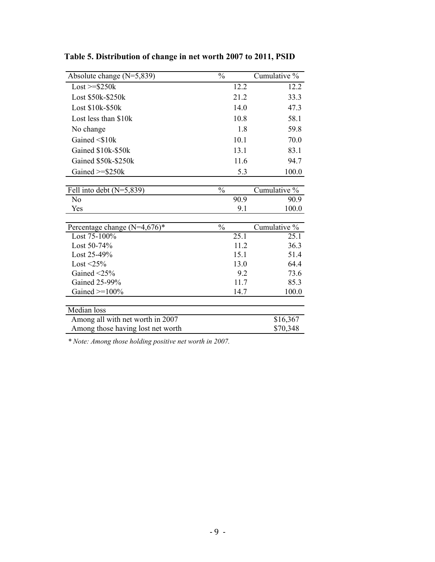| Absolute change $(N=5,839)$                | $\frac{0}{0}$ | Cumulative %  |
|--------------------------------------------|---------------|---------------|
| $Loss \geq $250k$                          |               | 12.2<br>12.2  |
| Lost \$50k-\$250k                          | 21.2          | 33.3          |
| Lost \$10k-\$50k                           |               | 14.0<br>47.3  |
| Lost less than \$10k                       |               | 10.8<br>58.1  |
| No change                                  |               | 1.8<br>59.8   |
| Gained $\leq$ 10k                          |               | 10.1<br>70.0  |
| Gained \$10k-\$50k                         |               | 13.1<br>83.1  |
| Gained \$50k-\$250k                        |               | 11.6<br>94.7  |
| Gained $>=$ \$250 $k$                      |               | 100.0<br>5.3  |
|                                            |               |               |
| Fell into debt $(N=5,839)$                 | $\frac{0}{0}$ | Cumulative %  |
| No                                         | 90.9          | 90.9          |
| Yes                                        |               | 100.0<br>9.1  |
|                                            |               |               |
| Percentage change $(N=4,676)$ <sup>*</sup> | $\frac{0}{0}$ | Cumulative %  |
| Lost 75-100%                               | 25.1          | 25.1          |
| Lost 50-74%                                |               | 11.2<br>36.3  |
| Lost 25-49%                                |               | 15.1<br>51.4  |
| Lost $\leq$ 25%                            |               | 13.0<br>64.4  |
| Gained $\leq$ 25%                          |               | 9.2<br>73.6   |
| Gained 25-99%                              |               | 11.7<br>85.3  |
| Gained $>=100%$                            |               | 100.0<br>14.7 |
|                                            |               |               |
| Median loss                                |               |               |
| Among all with net worth in 2007           |               | \$16,367      |
| Among those having lost net worth          |               | \$70,348      |

**Table 5. Distribution of change in net worth 2007 to 2011, PSID**

*\* Note: Among those holding positive net worth in 2007.*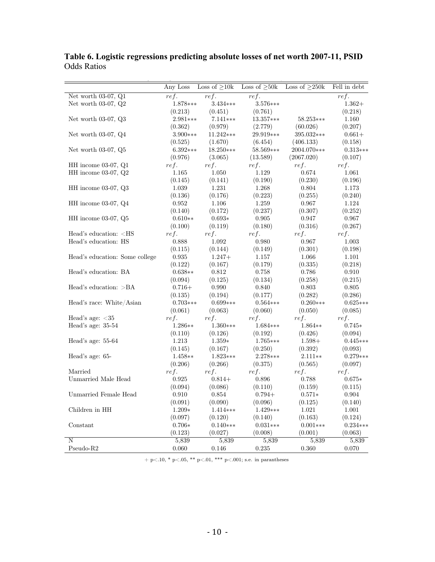|                                                                                                      | Any Loss            | Loss of $\geq 10k$ | Loss of $\geq 50k$ | Loss of $\geq$ 250k | Fell in debt     |
|------------------------------------------------------------------------------------------------------|---------------------|--------------------|--------------------|---------------------|------------------|
| Net worth $03-07$ , $Q1$                                                                             | ref.                | ref.               | ref.               |                     | ref.             |
| Net worth $03-07$ , $Q2$                                                                             | 1.878***            | $3.434***$         | 3.576***           |                     | $1.362+$         |
|                                                                                                      | (0.213)             | (0.451)            | (0.761)            |                     | (0.218)          |
| Net worth $03-07$ , $Q3$                                                                             | 2.981***            | $7.141***$         | 13.357***          | 58.253***           | 1.160            |
|                                                                                                      | (0.362)             | (0.979)            | (2.779)            | (60.026)            | (0.207)          |
| Net worth $03-07$ , $Q4$                                                                             | $3.900***$          | 11.242***          | 29.919***          | 395.032***          | $0.661+$         |
|                                                                                                      | (0.525)             | (1.670)            | (6.454)            | (406.133)           | (0.158)          |
| Net worth $03-07$ , $Q5$                                                                             | $6.392***$          | $18.250***$        | 58.569***          | 2004.070***         | $0.313***$       |
|                                                                                                      | (0.976)             | (3.065)            | (13.589)           | (2067.020)          | (0.107)          |
| $HH$ income 03-07, $Q1$                                                                              | ref.                | ref.               | ref.               | ref.                | ref.             |
| $HH$ income 03-07, $Q2$                                                                              | 1.165               | 1.050              | 1.129              | 0.674               | 1.061            |
|                                                                                                      | (0.145)             | (0.141)            | (0.190)            | (0.230)             | (0.196)          |
| HH income $03-07$ , $Q3$                                                                             | 1.039               | 1.231              | 1.268              | 0.804               | 1.173            |
|                                                                                                      | (0.136)             | (0.176)            | (0.223)            | (0.255)             | (0.240)          |
| HH income $03-07$ , $Q4$                                                                             | $\,0.952\,$         | 1.106              | 1.259              | 0.967               | 1.124            |
|                                                                                                      | (0.140)             | (0.172)            | (0.237)            | (0.307)             | (0.252)          |
| $HH$ income 03-07, $Q5$                                                                              | $0.610**$           | $0.693*$           | 0.905              | 0.947               | 0.967            |
|                                                                                                      | (0.100)             | (0.119)            | (0.180)            | (0.316)             | (0.267)          |
| Head's education: <hs< td=""><td>ref.</td><td>ref.</td><td>ref.</td><td>ref.</td><td>ref.</td></hs<> | ref.                | ref.               | ref.               | ref.                | ref.             |
| Head's education: HS                                                                                 | 0.888               | 1.092              | 0.980              | 0.967               | 1.003            |
|                                                                                                      | (0.115)             | (0.144)            | (0.149)            | (0.301)             | (0.198)          |
| Head's education: Some college                                                                       | 0.935               | $1.247+$           | 1.157              | 1.066               | 1.101            |
|                                                                                                      | (0.122)             | (0.167)            | (0.179)            | (0.335)             | (0.218)          |
| Head's education: BA                                                                                 | $0.638**$           | 0.812              | 0.758              | 0.786               | 0.910            |
|                                                                                                      | (0.094)             | (0.125)            | (0.134)            | (0.258)             | (0.215)          |
| Head's education: $>BA$                                                                              | $0.716+$            | 0.990              | 0.840              | 0.803               | 0.805            |
|                                                                                                      | (0.135)             | (0.194)            | (0.177)            | (0.282)             | (0.286)          |
| Head's race: White/Asian                                                                             | $0.703***$          | $0.699***$         | $0.564***$         | $0.260***$          | $0.625***$       |
|                                                                                                      | (0.061)             | (0.063)            | (0.060)            | (0.050)             | (0.085)          |
| Head's age: $<$ 35                                                                                   | ref.                | ref.               | ref.               | ref.                | ref.             |
| Head's age: $35-54$                                                                                  | $1.286**$           | 1.360***           | $1.684***$         | 1.864**             | $0.745*$         |
|                                                                                                      | (0.110)             | (0.126)            | (0.192)            | (0.426)             | (0.094)          |
| Head's age: 55-64                                                                                    | 1.213               | $1.359*$           | $1.765***$         | $1.598+$            | $0.445***$       |
|                                                                                                      | (0.145)             | (0.167)            | (0.250)            | (0.392)             | (0.093)          |
| Head's age: 65-                                                                                      | $1.458**$           | $1.823***$         | $2.278***$         | $2.111**$           | $0.279***$       |
|                                                                                                      | (0.206)             | (0.266)            | (0.375)            | (0.565)             | (0.097)          |
| Married                                                                                              | ref.                | ref.               | ref.               | ref.                | ref.             |
| Unmarried Male Head                                                                                  | 0.925               | $0.814+$           | 0.896              | 0.788               | $0.675*$         |
|                                                                                                      | (0.094)             | (0.086)            | (0.110)            | (0.159)             | (0.115)          |
| Unmarried Female Head                                                                                | $0.910\,$           | 0.854              | $0.794 +$          | $0.571*$            | $0.904\,$        |
|                                                                                                      | (0.091)             | (0.090)            | (0.096)            | (0.125)             | (0.140)          |
| Children in HH                                                                                       |                     |                    |                    |                     | $1.001\,$        |
|                                                                                                      |                     |                    |                    |                     |                  |
|                                                                                                      | $1.209*$            | $1.414***$         | $1.429***$         | $1.021\,$           |                  |
|                                                                                                      | (0.097)<br>$0.706*$ | (0.120)            | (0.140)            | (0.163)             | (0.124)          |
| Constant                                                                                             |                     | $0.140***$         | $0.031***$         | $0.001***$          | $0.234***$       |
| N                                                                                                    | (0.123)<br>5,839    | (0.027)<br>5,839   | (0.008)<br>5,839   | (0.001)<br>5,839    | (0.063)<br>5,839 |

**Table 6. Logistic regressions predicting absolute losses of net worth 2007-11, PSID** Odds Ratios

 $+$  p<.10, \* p<.05, \*\* p<.01, \*\*\* p<.001; s.e. in parantheses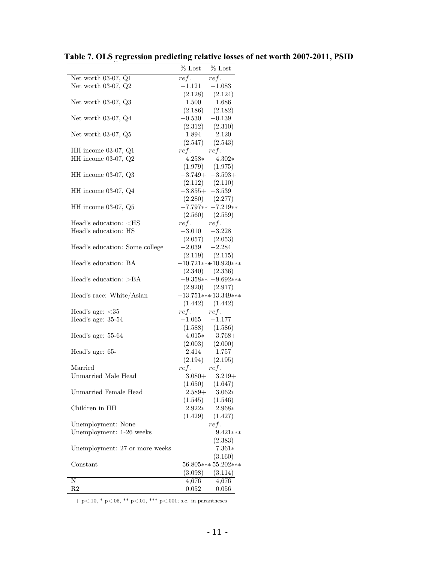|                                                                                                              |                                       | $%$ Lost $%$ Lost                                                                            |
|--------------------------------------------------------------------------------------------------------------|---------------------------------------|----------------------------------------------------------------------------------------------|
| Net worth 03-07, Q1                                                                                          | $ref.$ $ref.$                         |                                                                                              |
| Net worth 03-07, $Q2$                                                                                        |                                       | $-1.121 -1.083$                                                                              |
|                                                                                                              |                                       | $(2.128)$ $(2.124)$                                                                          |
|                                                                                                              |                                       |                                                                                              |
| Net worth 03-07, Q3                                                                                          |                                       | 1.500 1.686                                                                                  |
|                                                                                                              |                                       | $(2.186)$ $(2.182)$                                                                          |
| Net worth $03-07$ , $Q4$                                                                                     |                                       | $-0.530$ $-0.139$<br>$(2.312)$ $(2.310)$<br>$1.894$ $2.120$<br>$(2.547)$ $(2.543)$           |
|                                                                                                              |                                       |                                                                                              |
| Net worth $03-07$ , $Q5$                                                                                     |                                       |                                                                                              |
|                                                                                                              |                                       |                                                                                              |
| $HH$ income 03-07, $Q1$                                                                                      | $ref.$ $ref.$                         |                                                                                              |
| HH income 03-07, Q2                                                                                          |                                       | $-4.258* -4.302*$                                                                            |
|                                                                                                              | $(1.979)$ $(1.975)$                   |                                                                                              |
| HH income 03-07, Q3                                                                                          |                                       | $-3.749+ -3.593+$                                                                            |
|                                                                                                              |                                       |                                                                                              |
| HH income $03-07$ , $Q4$                                                                                     | $(2.112)$ $(2.110)$<br>-3.855+ -3.539 |                                                                                              |
|                                                                                                              |                                       |                                                                                              |
| $HH$ income 03-07, $Q5$                                                                                      |                                       | $\begin{array}{cc} (2.280) & (2.277) \\ -7.797** & -7.219** \end{array}$                     |
|                                                                                                              |                                       |                                                                                              |
| Head's education: <hs< td=""><td></td><td><math>(2.560)</math> <math>(2.559)</math><br/>ref. ref.</td></hs<> |                                       | $(2.560)$ $(2.559)$<br>ref. ref.                                                             |
|                                                                                                              |                                       |                                                                                              |
| Head's education: HS                                                                                         |                                       | $-3.010$ $-3.228$<br>(2.057) (2.053)                                                         |
|                                                                                                              |                                       |                                                                                              |
| Head's education: Some college                                                                               |                                       | $-2.039 -2.284$                                                                              |
|                                                                                                              |                                       | $(2.119)$ $(2.115)$                                                                          |
| Head's education: BA                                                                                         |                                       | $-10.721***10.920***$                                                                        |
|                                                                                                              |                                       | $(2.340)\qquad(2.336)$                                                                       |
| Head's education: $>BA$                                                                                      |                                       | $-9.358** -9.692***$                                                                         |
|                                                                                                              |                                       | $(2.920)$ $(2.917)$                                                                          |
| Head's race: White/Asian                                                                                     |                                       | $-13.751***13.349***$                                                                        |
|                                                                                                              |                                       | $(1.442)$ $(1.442)$                                                                          |
| Head's age: $<$ 35                                                                                           | $ref.$ $ref.$                         |                                                                                              |
| Head's age: 35-54                                                                                            |                                       | $-1.065 -1.177$                                                                              |
|                                                                                                              |                                       | $(1.588)$ $(1.586)$                                                                          |
| Head's age: 55-64                                                                                            |                                       |                                                                                              |
|                                                                                                              |                                       | $-4.015* -3.768+$                                                                            |
| Head's age: 65-                                                                                              |                                       | $\begin{array}{ccc}(2.003)&(2.000)\\-2.414&-1.757\\(2.194)&(2.195)\\ref.&\quad\,\end{array}$ |
|                                                                                                              |                                       |                                                                                              |
|                                                                                                              |                                       |                                                                                              |
| Married                                                                                                      |                                       |                                                                                              |
| Unmarried Male Head                                                                                          |                                       | $3.080 + 3.219 +$                                                                            |
|                                                                                                              | (1.650)                               | (1.647)                                                                                      |
| Unmarried Female Head                                                                                        | $2.589+$                              | $3.062*$                                                                                     |
|                                                                                                              | (1.545)                               | (1.546)                                                                                      |
| Children in HH                                                                                               | $2.922*$                              | 2.968*                                                                                       |
|                                                                                                              | (1.429)                               | (1.427)                                                                                      |
| Unemployment: None                                                                                           |                                       | ref.                                                                                         |
| Unemployment: 1-26 weeks                                                                                     |                                       | 9.421***                                                                                     |
|                                                                                                              |                                       | (2.383)                                                                                      |
| Unemployment: 27 or more weeks                                                                               |                                       | $7.361*$                                                                                     |
|                                                                                                              |                                       | (3.160)                                                                                      |
| Constant                                                                                                     |                                       | 56.805*** 55.202***                                                                          |
|                                                                                                              |                                       |                                                                                              |
|                                                                                                              | (3.098)                               | (3.114)                                                                                      |
| Ν                                                                                                            | 4,676                                 | 4,676                                                                                        |
| R2                                                                                                           | 0.052                                 | 0.056                                                                                        |

Table 7. OLS regression predicting relative losses of net worth 2007-2011, PSID

 $+$  p<.10, \* p<.05, \*\* p<.01, \*\*\* p<.001; s.e. in parantheses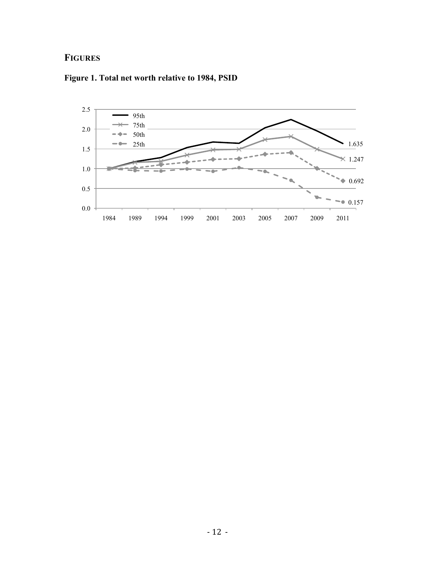# **FIGURES**



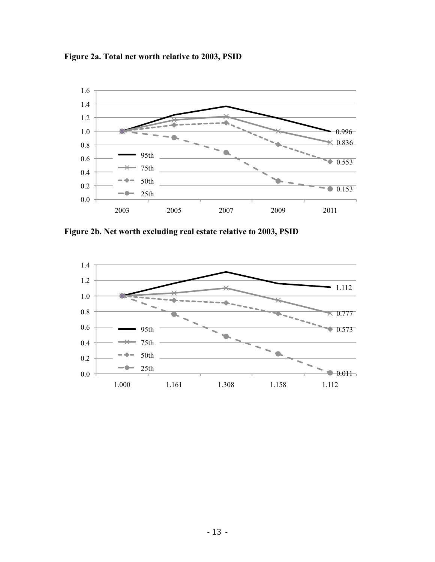**Figure 2a. Total net worth relative to 2003, PSID**



**Figure 2b. Net worth excluding real estate relative to 2003, PSID**

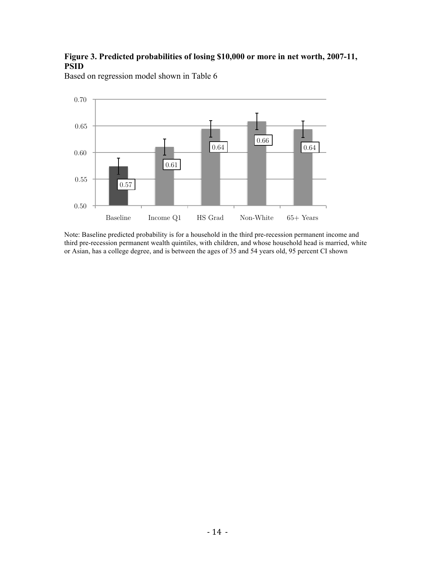## **Figure 3. Predicted probabilities of losing \$10,000 or more in net worth, 2007-11, PSID**



Based on regression model shown in Table 6

Note: Baseline predicted probability is for a household in the third pre-recession permanent income and third pre-recession permanent wealth quintiles, with children, and whose household head is married, white or Asian, has a college degree, and is between the ages of 35 and 54 years old, 95 percent CI shown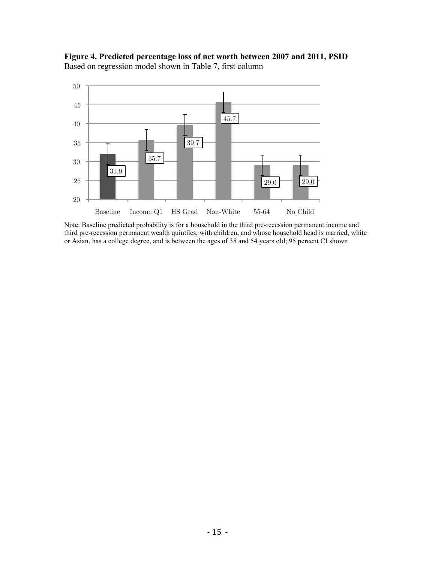



Note: Baseline predicted probability is for a household in the third pre-recession permanent income and third pre-recession permanent wealth quintiles, with children, and whose household head is married, white or Asian, has a college degree, and is between the ages of 35 and 54 years old; 95 percent CI shown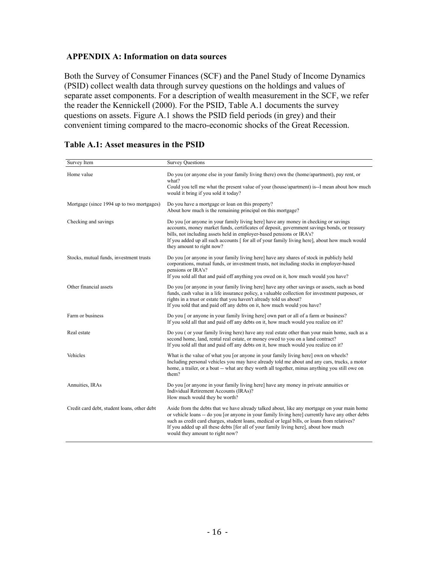### **APPENDIX A: Information on data sources**

Both the Survey of Consumer Finances (SCF) and the Panel Study of Income Dynamics (PSID) collect wealth data through survey questions on the holdings and values of separate asset components. For a description of wealth measurement in the SCF, we refer the reader the Kennickell (2000). For the PSID, Table A.1 documents the survey questions on assets. Figure A.1 shows the PSID field periods (in grey) and their convenient timing compared to the macro-economic shocks of the Great Recession.

| Survey Item                                 | <b>Survey Questions</b>                                                                                                                                                                                                                                                                                                                                                                                                    |
|---------------------------------------------|----------------------------------------------------------------------------------------------------------------------------------------------------------------------------------------------------------------------------------------------------------------------------------------------------------------------------------------------------------------------------------------------------------------------------|
| Home value                                  | Do you (or anyone else in your family living there) own the (home/apartment), pay rent, or<br>what?<br>Could you tell me what the present value of your (house/apartment) is--I mean about how much<br>would it bring if you sold it today?                                                                                                                                                                                |
| Mortgage (since 1994 up to two mortgages)   | Do you have a mortgage or loan on this property?<br>About how much is the remaining principal on this mortgage?                                                                                                                                                                                                                                                                                                            |
| Checking and savings                        | Do you [or anyone in your family living here] have any money in checking or savings<br>accounts, money market funds, certificates of deposit, government savings bonds, or treasury<br>bills, not including assets held in employer-based pensions or IRA's?<br>If you added up all such accounts [ for all of your family living here], about how much would<br>they amount to right now?                                 |
| Stocks, mutual funds, investment trusts     | Do you [or anyone in your family living here] have any shares of stock in publicly held<br>corporations, mutual funds, or investment trusts, not including stocks in employer-based<br>pensions or IRA's?<br>If you sold all that and paid off anything you owed on it, how much would you have?                                                                                                                           |
| Other financial assets                      | Do you [or anyone in your family living here] have any other savings or assets, such as bond<br>funds, cash value in a life insurance policy, a valuable collection for investment purposes, or<br>rights in a trust or estate that you haven't already told us about?<br>If you sold that and paid off any debts on it, how much would you have?                                                                          |
| Farm or business                            | Do you [ or anyone in your family living here] own part or all of a farm or business?<br>If you sold all that and paid off any debts on it, how much would you realize on it?                                                                                                                                                                                                                                              |
| Real estate                                 | Do you (or your family living here) have any real estate other than your main home, such as a<br>second home, land, rental real estate, or money owed to you on a land contract?<br>If you sold all that and paid off any debts on it, how much would you realize on it?                                                                                                                                                   |
| Vehicles                                    | What is the value of what you [or anyone in your family living here] own on wheels?<br>Including personal vehicles you may have already told me about and any cars, trucks, a motor<br>home, a trailer, or a boat -- what are they worth all together, minus anything you still owe on<br>them?                                                                                                                            |
| Annuities, IRAs                             | Do you [or anyone in your family living here] have any money in private annuities or<br>Individual Retirement Accounts (IRAs)?<br>How much would they be worth?                                                                                                                                                                                                                                                            |
| Credit card debt, student loans, other debt | Aside from the debts that we have already talked about, like any mortgage on your main home<br>or vehicle loans -- do you [or anyone in your family living here] currently have any other debts<br>such as credit card charges, student loans, medical or legal bills, or loans from relatives?<br>If you added up all these debts [for all of your family living here], about how much<br>would they amount to right now? |

## **Table A.1: Asset measures in the PSID**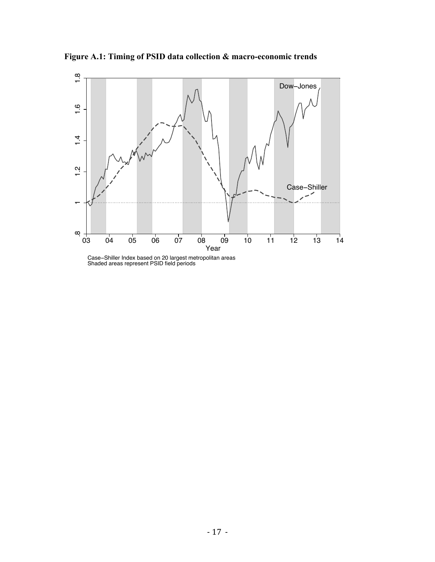

**Figure A.1: Timing of PSID data collection & macro-economic trends**

Case−Shiller Index based on 20 largest metropolitan areas Shaded areas represent PSID field periods